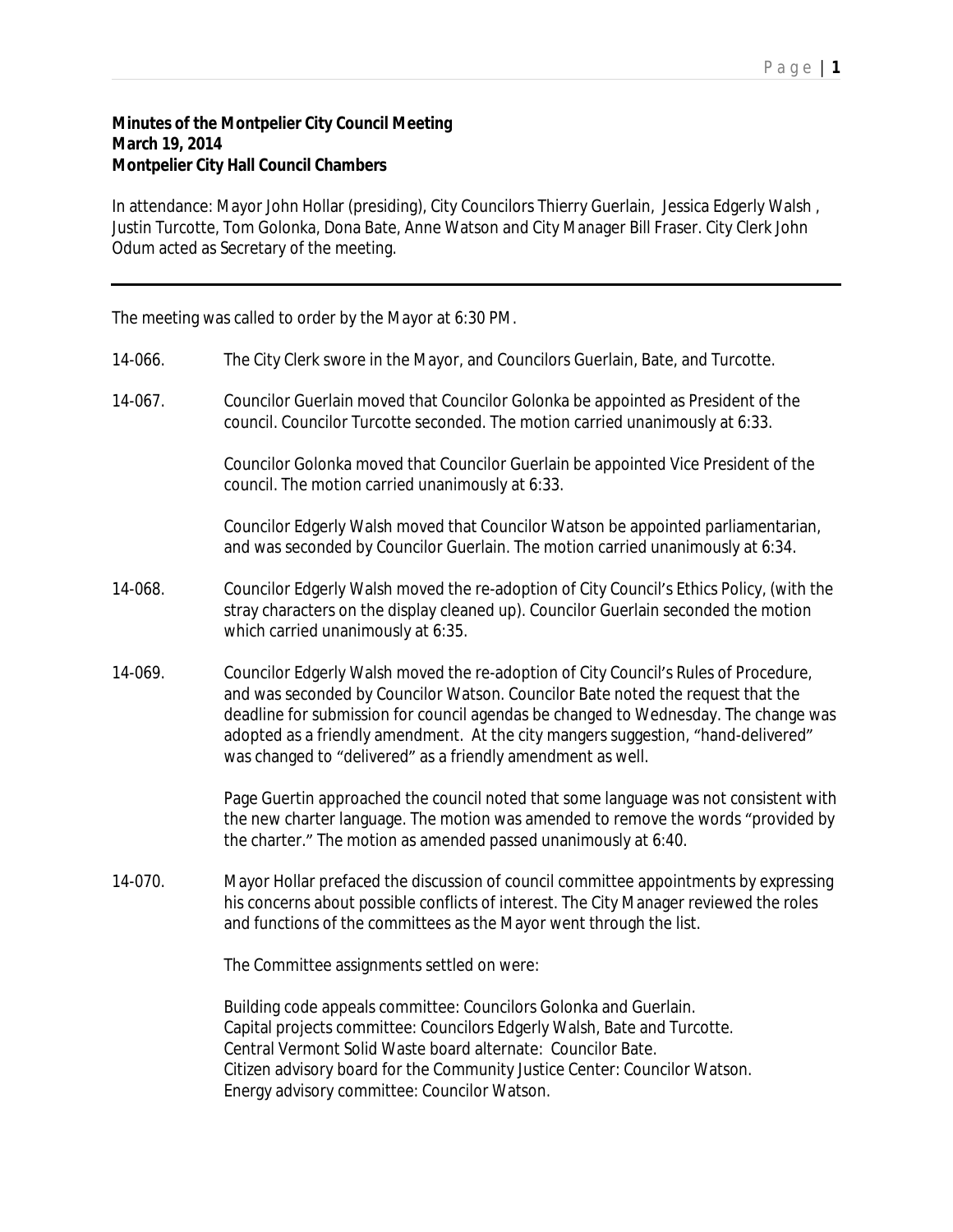## **Minutes of the Montpelier City Council Meeting March 19, 2014 Montpelier City Hall Council Chambers**

In attendance: Mayor John Hollar (presiding), City Councilors Thierry Guerlain, Jessica Edgerly Walsh , Justin Turcotte, Tom Golonka, Dona Bate, Anne Watson and City Manager Bill Fraser. City Clerk John Odum acted as Secretary of the meeting.

The meeting was called to order by the Mayor at 6:30 PM.

- 14-066. The City Clerk swore in the Mayor, and Councilors Guerlain, Bate, and Turcotte.
- 14-067. Councilor Guerlain moved that Councilor Golonka be appointed as President of the council. Councilor Turcotte seconded. The motion carried unanimously at 6:33.

Councilor Golonka moved that Councilor Guerlain be appointed Vice President of the council. The motion carried unanimously at 6:33.

Councilor Edgerly Walsh moved that Councilor Watson be appointed parliamentarian, and was seconded by Councilor Guerlain. The motion carried unanimously at 6:34.

- 14-068. Councilor Edgerly Walsh moved the re-adoption of City Council's Ethics Policy, (with the stray characters on the display cleaned up). Councilor Guerlain seconded the motion which carried unanimously at 6:35.
- 14-069. Councilor Edgerly Walsh moved the re-adoption of City Council's Rules of Procedure, and was seconded by Councilor Watson. Councilor Bate noted the request that the deadline for submission for council agendas be changed to Wednesday. The change was adopted as a friendly amendment. At the city mangers suggestion, "hand-delivered" was changed to "delivered" as a friendly amendment as well.

Page Guertin approached the council noted that some language was not consistent with the new charter language. The motion was amended to remove the words "provided by the charter." The motion as amended passed unanimously at 6:40.

14-070. Mayor Hollar prefaced the discussion of council committee appointments by expressing his concerns about possible conflicts of interest. The City Manager reviewed the roles and functions of the committees as the Mayor went through the list.

The Committee assignments settled on were:

Building code appeals committee: Councilors Golonka and Guerlain. Capital projects committee: Councilors Edgerly Walsh, Bate and Turcotte. Central Vermont Solid Waste board alternate: Councilor Bate. Citizen advisory board for the Community Justice Center: Councilor Watson. Energy advisory committee: Councilor Watson.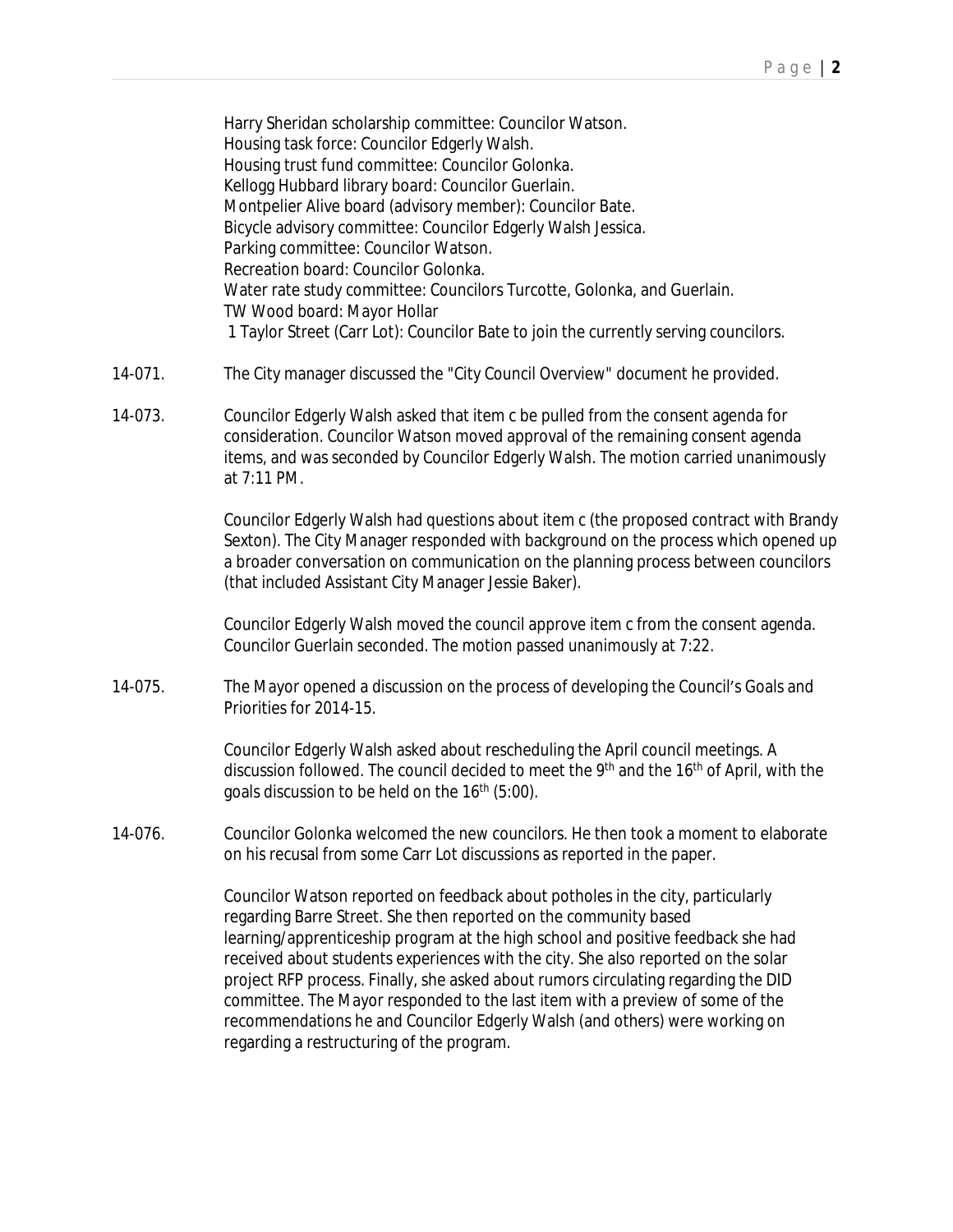Harry Sheridan scholarship committee: Councilor Watson. Housing task force: Councilor Edgerly Walsh. Housing trust fund committee: Councilor Golonka. Kellogg Hubbard library board: Councilor Guerlain. Montpelier Alive board (advisory member): Councilor Bate. Bicycle advisory committee: Councilor Edgerly Walsh Jessica. Parking committee: Councilor Watson. Recreation board: Councilor Golonka. Water rate study committee: Councilors Turcotte, Golonka, and Guerlain. TW Wood board: Mayor Hollar 1 Taylor Street (Carr Lot): Councilor Bate to join the currently serving councilors.

- 14-071. The City manager discussed the "City Council Overview" document he provided.
- 14-073. Councilor Edgerly Walsh asked that item c be pulled from the consent agenda for consideration. Councilor Watson moved approval of the remaining consent agenda items, and was seconded by Councilor Edgerly Walsh. The motion carried unanimously at 7:11 PM.

Councilor Edgerly Walsh had questions about item c (the proposed contract with Brandy Sexton). The City Manager responded with background on the process which opened up a broader conversation on communication on the planning process between councilors (that included Assistant City Manager Jessie Baker).

Councilor Edgerly Walsh moved the council approve item c from the consent agenda. Councilor Guerlain seconded. The motion passed unanimously at 7:22.

14-075. The Mayor opened a discussion on the process of developing the Council's Goals and Priorities for 2014-15.

> Councilor Edgerly Walsh asked about rescheduling the April council meetings. A discussion followed. The council decided to meet the 9<sup>th</sup> and the 16<sup>th</sup> of April, with the goals discussion to be held on the 16th (5:00).

14-076. Councilor Golonka welcomed the new councilors. He then took a moment to elaborate on his recusal from some Carr Lot discussions as reported in the paper.

> Councilor Watson reported on feedback about potholes in the city, particularly regarding Barre Street. She then reported on the community based learning/apprenticeship program at the high school and positive feedback she had received about students experiences with the city. She also reported on the solar project RFP process. Finally, she asked about rumors circulating regarding the DID committee. The Mayor responded to the last item with a preview of some of the recommendations he and Councilor Edgerly Walsh (and others) were working on regarding a restructuring of the program.